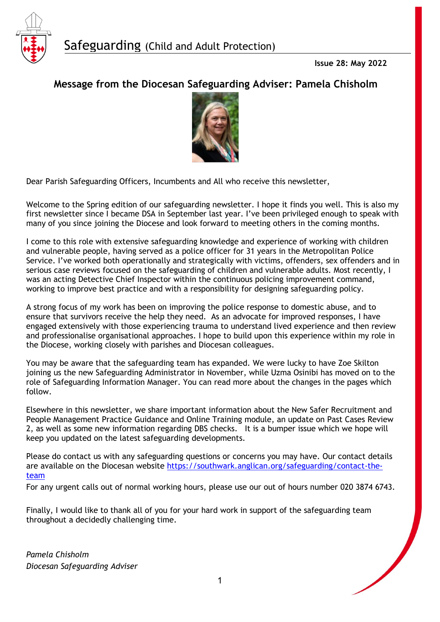

# **Message from the Diocesan Safeguarding Adviser: Pamela Chisholm**



Dear Parish Safeguarding Officers, Incumbents and All who receive this newsletter,

Welcome to the Spring edition of our safeguarding newsletter. I hope it finds you well. This is also my first newsletter since I became DSA in September last year. I've been privileged enough to speak with many of you since joining the Diocese and look forward to meeting others in the coming months.

I come to this role with extensive safeguarding knowledge and experience of working with children and vulnerable people, having served as a police officer for 31 years in the Metropolitan Police Service. I've worked both operationally and strategically with victims, offenders, sex offenders and in serious case reviews focused on the safeguarding of children and vulnerable adults. Most recently, I was an acting Detective Chief Inspector within the continuous policing improvement command, working to improve best practice and with a responsibility for designing safeguarding policy.

A strong focus of my work has been on improving the police response to domestic abuse, and to ensure that survivors receive the help they need. As an advocate for improved responses, I have engaged extensively with those experiencing trauma to understand lived experience and then review and professionalise organisational approaches. I hope to build upon this experience within my role in the Diocese, working closely with parishes and Diocesan colleagues.

You may be aware that the safeguarding team has expanded. We were lucky to have Zoe Skilton joining us the new Safeguarding Administrator in November, while Uzma Osinibi has moved on to the role of Safeguarding Information Manager. You can read more about the changes in the pages which follow.

Elsewhere in this newsletter, we share important information about the New Safer Recruitment and People Management Practice Guidance and Online Training module, an update on Past Cases Review 2, as well as some new information regarding DBS checks. It is a bumper issue which we hope will keep you updated on the latest safeguarding developments.

Please do contact us with any safeguarding questions or concerns you may have. Our contact details are available on the Diocesan website [https://southwark.anglican.org/safeguarding/contact-the](https://southwark.anglican.org/safeguarding/contact-the-team)[team](https://southwark.anglican.org/safeguarding/contact-the-team) 

For any urgent calls out of normal working hours, please use our out of hours number 020 3874 6743.

Finally, I would like to thank all of you for your hard work in support of the safeguarding team throughout a decidedly challenging time.

*Pamela Chisholm Diocesan Safeguarding Adviser*

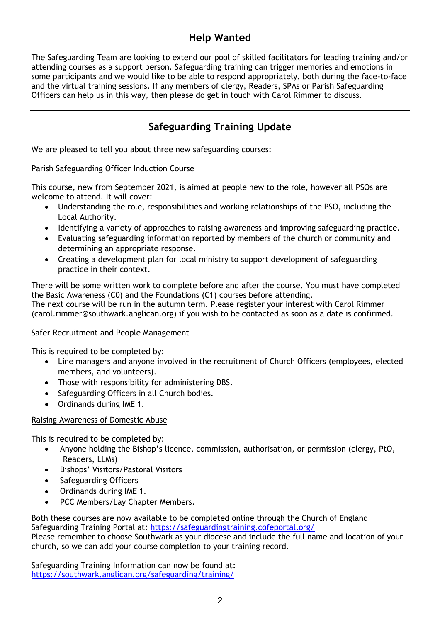## **Help Wanted**

The Safeguarding Team are looking to extend our pool of skilled facilitators for leading training and/or attending courses as a support person. Safeguarding training can trigger memories and emotions in some participants and we would like to be able to respond appropriately, both during the face-to-face and the virtual training sessions. If any members of clergy, Readers, SPAs or Parish Safeguarding Officers can help us in this way, then please do get in touch with Carol Rimmer to discuss.

# **Safeguarding Training Update**

We are pleased to tell you about three new safeguarding courses:

#### Parish Safeguarding Officer Induction Course

This course, new from September 2021, is aimed at people new to the role, however all PSOs are welcome to attend. It will cover:

- Understanding the role, responsibilities and working relationships of the PSO, including the Local Authority.
- Identifying a variety of approaches to raising awareness and improving safeguarding practice.
- Evaluating safeguarding information reported by members of the church or community and determining an appropriate response.
- Creating a development plan for local ministry to support development of safeguarding practice in their context.

There will be some written work to complete before and after the course. You must have completed the Basic Awareness (C0) and the Foundations (C1) courses before attending. The next course will be run in the autumn term. Please register your interest with Carol Rimmer (carol.rimmer@southwark.anglican.org) if you wish to be contacted as soon as a date is confirmed.

#### Safer Recruitment and People Management

This is required to be completed by:

- Line managers and anyone involved in the recruitment of Church Officers (employees, elected members, and volunteers).
- Those with responsibility for administering DBS.
- Safeguarding Officers in all Church bodies.
- Ordinands during IME 1.

#### Raising Awareness of Domestic Abuse

This is required to be completed by:

- Anyone holding the Bishop's licence, commission, authorisation, or permission (clergy, PtO, Readers, LLMs)
- Bishops' Visitors/Pastoral Visitors
- Safeguarding Officers
- Ordinands during IME 1.
- PCC Members/Lay Chapter Members.

Both these courses are now available to be completed online through the Church of England Safeguarding Training Portal at:<https://safeguardingtraining.cofeportal.org/> Please remember to choose Southwark as your diocese and include the full name and location of your church, so we can add your course completion to your training record.

Safeguarding Training Information can now be found at: <https://southwark.anglican.org/safeguarding/training/>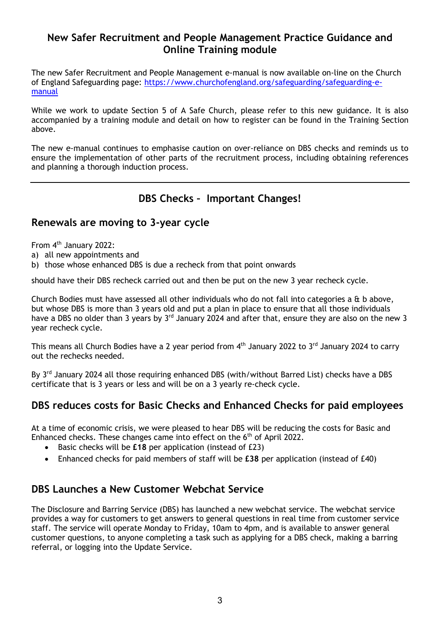### **New Safer Recruitment and People Management Practice Guidance and Online Training module**

The new Safer Recruitment and People Management e-manual is now available on-line on the Church of England Safeguarding page: [https://www.churchofengland.org/safeguarding/safeguarding-e](https://www.churchofengland.org/safeguarding/safeguarding-e-manual)[manual](https://www.churchofengland.org/safeguarding/safeguarding-e-manual)

While we work to update Section 5 of A Safe Church, please refer to this new guidance. It is also accompanied by a training module and detail on how to register can be found in the Training Section above.

The new e-manual continues to emphasise caution on over-reliance on DBS checks and reminds us to ensure the implementation of other parts of the recruitment process, including obtaining references and planning a thorough induction process.

## **DBS Checks – Important Changes!**

#### **Renewals are moving to 3-year cycle**

From 4<sup>th</sup> January 2022:

- a) all new appointments and
- b) those whose enhanced DBS is due a recheck from that point onwards

should have their DBS recheck carried out and then be put on the new 3 year recheck cycle.

Church Bodies must have assessed all other individuals who do not fall into categories a & b above, but whose DBS is more than 3 years old and put a plan in place to ensure that all those individuals have a DBS no older than 3 years by 3<sup>rd</sup> January 2024 and after that, ensure they are also on the new 3 year recheck cycle.

This means all Church Bodies have a 2 year period from 4<sup>th</sup> January 2022 to 3<sup>rd</sup> January 2024 to carry out the rechecks needed.

By 3<sup>rd</sup> January 2024 all those requiring enhanced DBS (with/without Barred List) checks have a DBS certificate that is 3 years or less and will be on a 3 yearly re-check cycle.

### **DBS reduces costs for Basic Checks and Enhanced Checks for paid employees**

At a time of economic crisis, we were pleased to hear DBS will be reducing the costs for Basic and Enhanced checks. These changes came into effect on the 6<sup>th</sup> of April 2022.

- Basic checks will be **£18** per application (instead of £23)
- Enhanced checks for paid members of staff will be **£38** per application (instead of £40)

#### **DBS Launches a New Customer Webchat Service**

The Disclosure and Barring Service (DBS) has launched a new webchat service. The webchat service provides a way for customers to get answers to general questions in real time from customer service staff. The service will operate Monday to Friday, 10am to 4pm, and is available to answer general customer questions, to anyone completing a task such as applying for a DBS check, making a barring referral, or logging into the Update Service.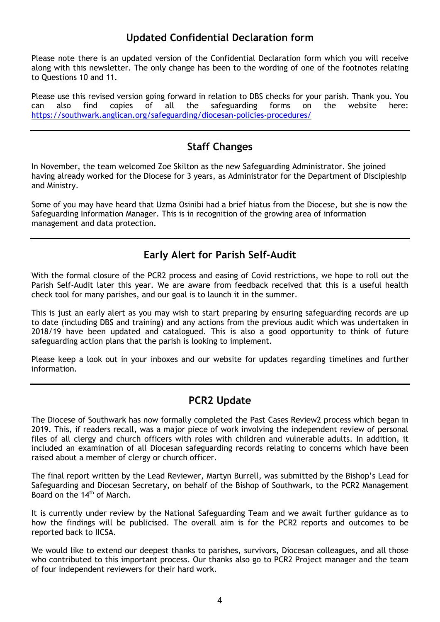### **Updated Confidential Declaration form**

Please note there is an updated version of the Confidential Declaration form which you will receive along with this newsletter. The only change has been to the wording of one of the footnotes relating to Questions 10 and 11.

Please use this revised version going forward in relation to DBS checks for your parish. Thank you. You can also find copies of all the safeguarding forms on the website here: <https://southwark.anglican.org/safeguarding/diocesan-policies-procedures/>

## **Staff Changes**

In November, the team welcomed Zoe Skilton as the new Safeguarding Administrator. She joined having already worked for the Diocese for 3 years, as Administrator for the Department of Discipleship and Ministry.

Some of you may have heard that Uzma Osinibi had a brief hiatus from the Diocese, but she is now the Safeguarding Information Manager. This is in recognition of the growing area of information management and data protection.

## **Early Alert for Parish Self-Audit**

With the formal closure of the PCR2 process and easing of Covid restrictions, we hope to roll out the Parish Self-Audit later this year. We are aware from feedback received that this is a useful health check tool for many parishes, and our goal is to launch it in the summer.

This is just an early alert as you may wish to start preparing by ensuring safeguarding records are up to date (including DBS and training) and any actions from the previous audit which was undertaken in 2018/19 have been updated and catalogued. This is also a good opportunity to think of future safeguarding action plans that the parish is looking to implement.

Please keep a look out in your inboxes and our website for updates regarding timelines and further information.

### **PCR2 Update**

The Diocese of Southwark has now formally completed the Past Cases Review2 process which began in 2019. This, if readers recall, was a major piece of work involving the independent review of personal files of all clergy and church officers with roles with children and vulnerable adults. In addition, it included an examination of all Diocesan safeguarding records relating to concerns which have been raised about a member of clergy or church officer.

The final report written by the Lead Reviewer, Martyn Burrell, was submitted by the Bishop's Lead for Safeguarding and Diocesan Secretary, on behalf of the Bishop of Southwark, to the PCR2 Management Board on the 14<sup>th</sup> of March.

It is currently under review by the National Safeguarding Team and we await further guidance as to how the findings will be publicised. The overall aim is for the PCR2 reports and outcomes to be reported back to IICSA.

We would like to extend our deepest thanks to parishes, survivors, Diocesan colleagues, and all those who contributed to this important process. Our thanks also go to PCR2 Project manager and the team of four independent reviewers for their hard work.